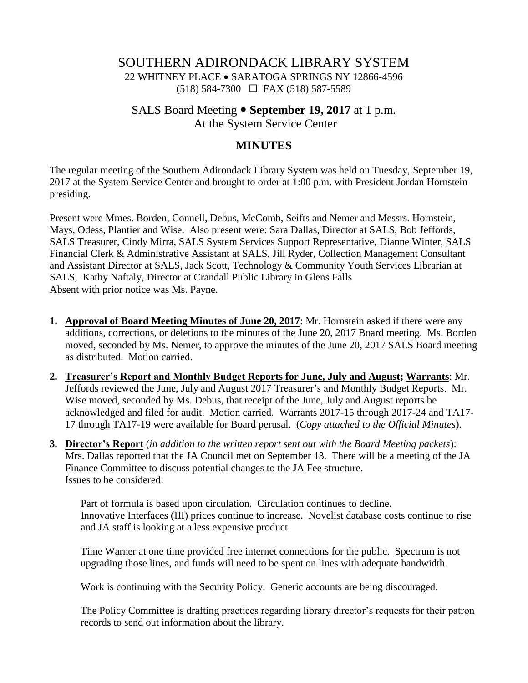### SOUTHERN ADIRONDACK LIBRARY SYSTEM 22 WHITNEY PLACE SARATOGA SPRINGS NY 12866-4596 (518) 584-7300 FAX (518) 587-5589

# SALS Board Meeting **September 19, 2017** at 1 p.m. At the System Service Center

## **MINUTES**

The regular meeting of the Southern Adirondack Library System was held on Tuesday, September 19, 2017 at the System Service Center and brought to order at 1:00 p.m. with President Jordan Hornstein presiding.

Present were Mmes. Borden, Connell, Debus, McComb, Seifts and Nemer and Messrs. Hornstein, Mays, Odess, Plantier and Wise. Also present were: Sara Dallas, Director at SALS, Bob Jeffords, SALS Treasurer, Cindy Mirra, SALS System Services Support Representative, Dianne Winter, SALS Financial Clerk & Administrative Assistant at SALS, Jill Ryder, Collection Management Consultant and Assistant Director at SALS, Jack Scott, Technology & Community Youth Services Librarian at SALS, Kathy Naftaly, Director at Crandall Public Library in Glens Falls Absent with prior notice was Ms. Payne.

- **1. Approval of Board Meeting Minutes of June 20, 2017**: Mr. Hornstein asked if there were any additions, corrections, or deletions to the minutes of the June 20, 2017 Board meeting. Ms. Borden moved, seconded by Ms. Nemer, to approve the minutes of the June 20, 2017 SALS Board meeting as distributed. Motion carried.
- **2. Treasurer's Report and Monthly Budget Reports for June, July and August; Warrants**: Mr. Jeffords reviewed the June, July and August 2017 Treasurer's and Monthly Budget Reports. Mr. Wise moved, seconded by Ms. Debus, that receipt of the June, July and August reports be acknowledged and filed for audit. Motion carried. Warrants 2017-15 through 2017-24 and TA17- 17 through TA17-19 were available for Board perusal. (*Copy attached to the Official Minutes*).
- **3. Director's Report** (*in addition to the written report sent out with the Board Meeting packets*): Mrs. Dallas reported that the JA Council met on September 13. There will be a meeting of the JA Finance Committee to discuss potential changes to the JA Fee structure. Issues to be considered:

Part of formula is based upon circulation. Circulation continues to decline. Innovative Interfaces (III) prices continue to increase. Novelist database costs continue to rise and JA staff is looking at a less expensive product.

Time Warner at one time provided free internet connections for the public. Spectrum is not upgrading those lines, and funds will need to be spent on lines with adequate bandwidth.

Work is continuing with the Security Policy. Generic accounts are being discouraged.

The Policy Committee is drafting practices regarding library director's requests for their patron records to send out information about the library.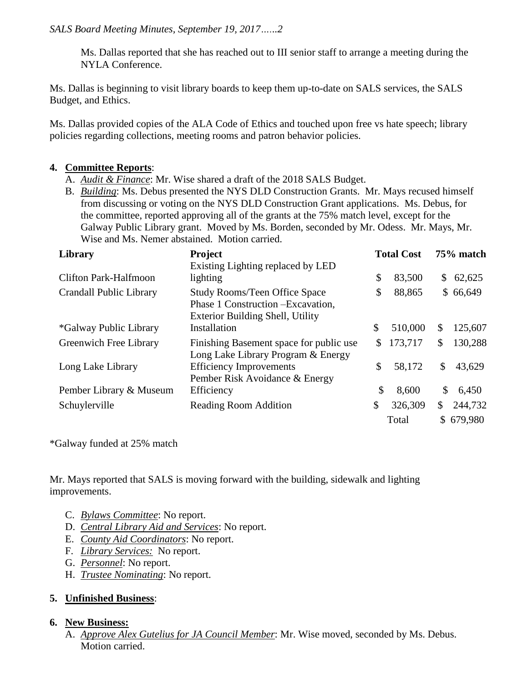Ms. Dallas reported that she has reached out to III senior staff to arrange a meeting during the NYLA Conference.

Ms. Dallas is beginning to visit library boards to keep them up-to-date on SALS services, the SALS Budget, and Ethics.

Ms. Dallas provided copies of the ALA Code of Ethics and touched upon free vs hate speech; library policies regarding collections, meeting rooms and patron behavior policies.

#### **4. Committee Reports**:

- A. *Audit & Finance*: Mr. Wise shared a draft of the 2018 SALS Budget.
- B. *Building*: Ms. Debus presented the NYS DLD Construction Grants. Mr. Mays recused himself from discussing or voting on the NYS DLD Construction Grant applications. Ms. Debus, for the committee, reported approving all of the grants at the 75% match level, except for the Galway Public Library grant. Moved by Ms. Borden, seconded by Mr. Odess. Mr. Mays, Mr. Wise and Ms. Nemer abstained. Motion carried.

| Library                       | Project<br>Existing Lighting replaced by LED                                                                   | <b>Total Cost</b> |         | 75% match    |           |
|-------------------------------|----------------------------------------------------------------------------------------------------------------|-------------------|---------|--------------|-----------|
|                               |                                                                                                                |                   |         |              |           |
| <b>Clifton Park-Halfmoon</b>  | lighting                                                                                                       | \$                | 83,500  | S.           | 62,625    |
| Crandall Public Library       | <b>Study Rooms/Teen Office Space</b><br>Phase 1 Construction - Excavation,<br>Exterior Building Shell, Utility | \$                | 88,865  |              | \$66,649  |
| <i>*Galway Public Library</i> | Installation                                                                                                   | \$                | 510,000 | \$           | 125,607   |
| Greenwich Free Library        | Finishing Basement space for public use<br>Long Lake Library Program & Energy                                  | S.                | 173,717 | S            | 130,288   |
| Long Lake Library             | <b>Efficiency Improvements</b><br>Pember Risk Avoidance & Energy                                               | \$                | 58,172  | \$           | 43,629    |
| Pember Library & Museum       | Efficiency                                                                                                     | \$                | 8,600   | \$           | 6,450     |
| Schuylerville                 | <b>Reading Room Addition</b>                                                                                   | \$                | 326,309 | $\mathbb{S}$ | 244,732   |
|                               |                                                                                                                |                   | Total   |              | \$679,980 |

\*Galway funded at 25% match

Mr. Mays reported that SALS is moving forward with the building, sidewalk and lighting improvements.

- C. *Bylaws Committee*: No report.
- D. *Central Library Aid and Services*: No report.
- E. *County Aid Coordinators*: No report.
- F. *Library Services:* No report.
- G. *Personnel*: No report.
- H. *Trustee Nominating*: No report.

#### **5. Unfinished Business**:

#### **6. New Business:**

A. *Approve Alex Gutelius for JA Council Member*: Mr. Wise moved, seconded by Ms. Debus. Motion carried.